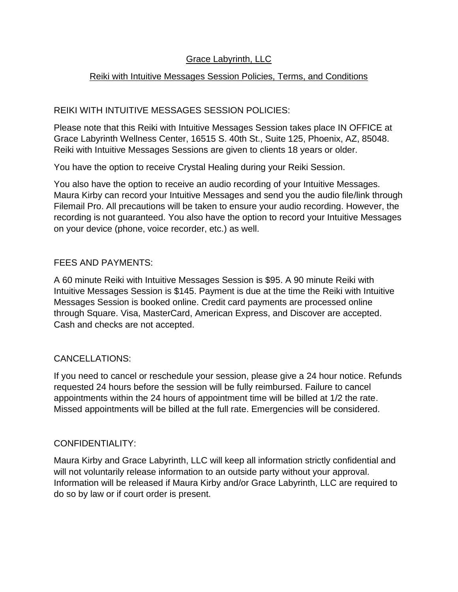# Grace Labyrinth, LLC

## Reiki with Intuitive Messages Session Policies, Terms, and Conditions

## REIKI WITH INTUITIVE MESSAGES SESSION POLICIES:

Please note that this Reiki with Intuitive Messages Session takes place IN OFFICE at Grace Labyrinth Wellness Center, 16515 S. 40th St., Suite 125, Phoenix, AZ, 85048. Reiki with Intuitive Messages Sessions are given to clients 18 years or older.

You have the option to receive Crystal Healing during your Reiki Session.

You also have the option to receive an audio recording of your Intuitive Messages. Maura Kirby can record your Intuitive Messages and send you the audio file/link through Filemail Pro. All precautions will be taken to ensure your audio recording. However, the recording is not guaranteed. You also have the option to record your Intuitive Messages on your device (phone, voice recorder, etc.) as well.

#### FEES AND PAYMENTS:

A 60 minute Reiki with Intuitive Messages Session is \$95. A 90 minute Reiki with Intuitive Messages Session is \$145. Payment is due at the time the Reiki with Intuitive Messages Session is booked online. Credit card payments are processed online through Square. Visa, MasterCard, American Express, and Discover are accepted. Cash and checks are not accepted.

## CANCELLATIONS:

If you need to cancel or reschedule your session, please give a 24 hour notice. Refunds requested 24 hours before the session will be fully reimbursed. Failure to cancel appointments within the 24 hours of appointment time will be billed at 1/2 the rate. Missed appointments will be billed at the full rate. Emergencies will be considered.

## CONFIDENTIALITY:

Maura Kirby and Grace Labyrinth, LLC will keep all information strictly confidential and will not voluntarily release information to an outside party without your approval. Information will be released if Maura Kirby and/or Grace Labyrinth, LLC are required to do so by law or if court order is present.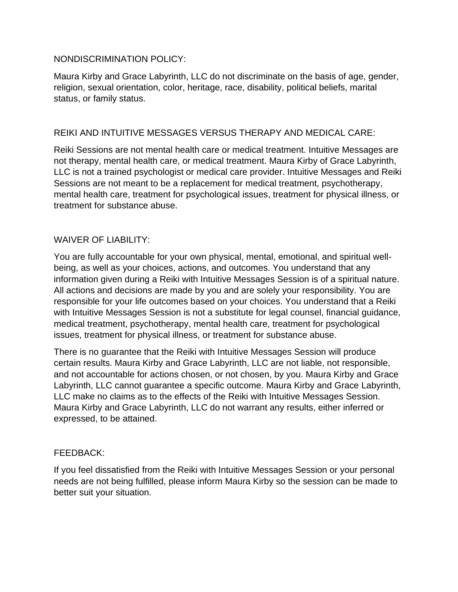#### NONDISCRIMINATION POLICY:

Maura Kirby and Grace Labyrinth, LLC do not discriminate on the basis of age, gender, religion, sexual orientation, color, heritage, race, disability, political beliefs, marital status, or family status.

#### REIKI AND INTUITIVE MESSAGES VERSUS THERAPY AND MEDICAL CARE:

Reiki Sessions are not mental health care or medical treatment. Intuitive Messages are not therapy, mental health care, or medical treatment. Maura Kirby of Grace Labyrinth, LLC is not a trained psychologist or medical care provider. Intuitive Messages and Reiki Sessions are not meant to be a replacement for medical treatment, psychotherapy, mental health care, treatment for psychological issues, treatment for physical illness, or treatment for substance abuse.

#### WAIVER OF LIABILITY:

You are fully accountable for your own physical, mental, emotional, and spiritual wellbeing, as well as your choices, actions, and outcomes. You understand that any information given during a Reiki with Intuitive Messages Session is of a spiritual nature. All actions and decisions are made by you and are solely your responsibility. You are responsible for your life outcomes based on your choices. You understand that a Reiki with Intuitive Messages Session is not a substitute for legal counsel, financial guidance, medical treatment, psychotherapy, mental health care, treatment for psychological issues, treatment for physical illness, or treatment for substance abuse.

There is no guarantee that the Reiki with Intuitive Messages Session will produce certain results. Maura Kirby and Grace Labyrinth, LLC are not liable, not responsible, and not accountable for actions chosen, or not chosen, by you. Maura Kirby and Grace Labyrinth, LLC cannot guarantee a specific outcome. Maura Kirby and Grace Labyrinth, LLC make no claims as to the effects of the Reiki with Intuitive Messages Session. Maura Kirby and Grace Labyrinth, LLC do not warrant any results, either inferred or expressed, to be attained.

#### FEEDBACK:

If you feel dissatisfied from the Reiki with Intuitive Messages Session or your personal needs are not being fulfilled, please inform Maura Kirby so the session can be made to better suit your situation.